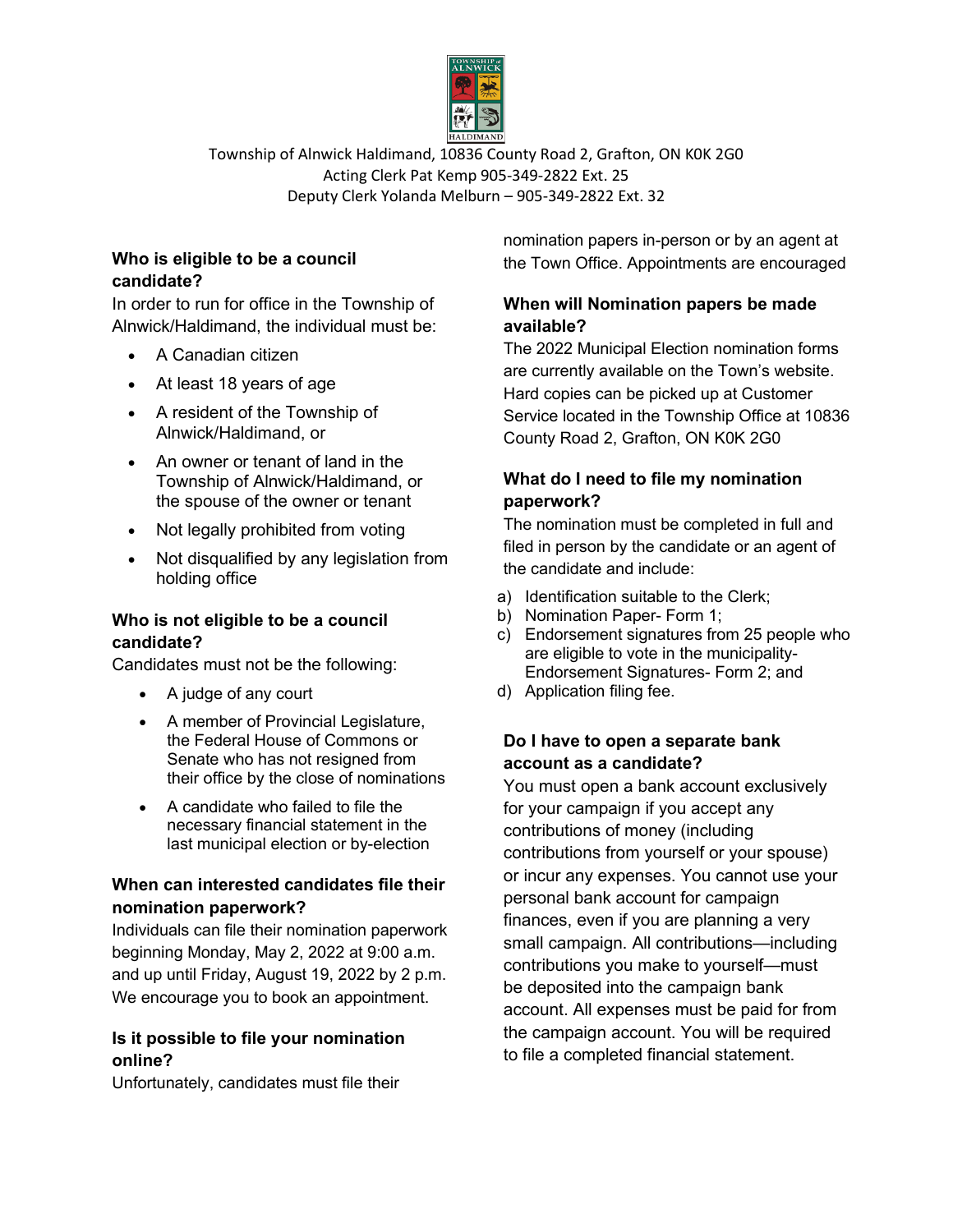

Township of Alnwick Haldimand, 10836 County Road 2, Grafton, ON K0K 2G0 Acting Clerk Pat Kemp 905-349-2822 Ext. 25 Deputy Clerk Yolanda Melburn – 905-349-2822 Ext. 32

## **Who is eligible to be a council candidate?**

In order to run for office in the Township of Alnwick/Haldimand, the individual must be:

- A Canadian citizen
- At least 18 years of age
- A resident of the Township of Alnwick/Haldimand, or
- An owner or tenant of land in the Township of Alnwick/Haldimand, or the spouse of the owner or tenant
- Not legally prohibited from voting
- Not disqualified by any legislation from holding office

### **Who is not eligible to be a council candidate?**

Candidates must not be the following:

- A judge of any court
- A member of Provincial Legislature, the Federal House of Commons or Senate who has not resigned from their office by the close of nominations
- A candidate who failed to file the necessary financial statement in the last municipal election or by-election

### **When can interested candidates file their nomination paperwork?**

Individuals can file their nomination paperwork beginning Monday, May 2, 2022 at 9:00 a.m. and up until Friday, August 19, 2022 by 2 p.m. We encourage you to book an appointment.

### **Is it possible to file your nomination online?**

Unfortunately, candidates must file their

nomination papers in-person or by an agent at the Town Office. Appointments are encouraged

# **When will Nomination papers be made available?**

The 2022 Municipal Election nomination forms are currently available on the Town's website. Hard copies can be picked up at Customer Service located in the Township Office at 10836 County Road 2, Grafton, ON K0K 2G0

# **What do I need to file my nomination paperwork?**

The nomination must be completed in full and filed in person by the candidate or an agent of the candidate and include:

- a) Identification suitable to the Clerk;
- b) Nomination Paper- Form 1;
- c) Endorsement signatures from 25 people who are eligible to vote in the municipality-Endorsement Signatures- Form 2; and
- d) Application filing fee.

# **Do I have to open a separate bank account as a candidate?**

You must open a bank account exclusively for your campaign if you accept any contributions of money (including contributions from yourself or your spouse) or incur any expenses. You cannot use your personal bank account for campaign finances, even if you are planning a very small campaign. All contributions—including contributions you make to yourself—must be deposited into the campaign bank account. All expenses must be paid for from the campaign account. You will be required to file a completed financial statement.